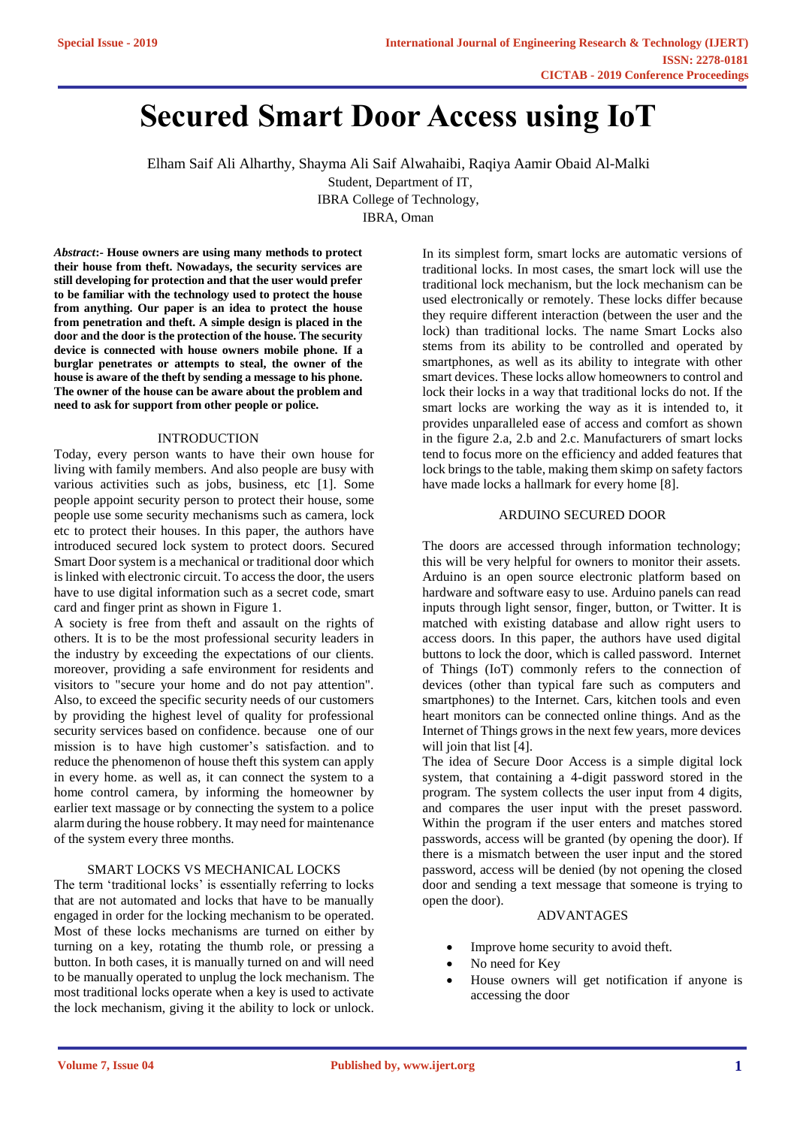# **Secured Smart Door Access using IoT**

Elham Saif Ali Alharthy, Shayma Ali Saif Alwahaibi, Raqiya Aamir Obaid Al-Malki Student, Department of IT,

IBRA College of Technology,

IBRA, Oman

*Abstract***:- House owners are using many methods to protect their house from theft. Nowadays, the security services are still developing for protection and that the user would prefer to be familiar with the technology used to protect the house from anything. Our paper is an idea to protect the house from penetration and theft. A simple design is placed in the door and the door is the protection of the house. The security device is connected with house owners mobile phone. If a burglar penetrates or attempts to steal, the owner of the house is aware of the theft by sending a message to his phone. The owner of the house can be aware about the problem and need to ask for support from other people or police.**

# INTRODUCTION

Today, every person wants to have their own house for living with family members. And also people are busy with various activities such as jobs, business, etc [1]. Some people appoint security person to protect their house, some people use some security mechanisms such as camera, lock etc to protect their houses. In this paper, the authors have introduced secured lock system to protect doors. Secured Smart Door system is a mechanical or traditional door which is linked with electronic circuit. To access the door, the users have to use digital information such as a secret code, smart card and finger print as shown in Figure 1.

A society is free from theft and assault on the rights of others. It is to be the most professional security leaders in the industry by exceeding the expectations of our clients. moreover, providing a safe environment for residents and visitors to "secure your home and do not pay attention". Also, to exceed the specific security needs of our customers by providing the highest level of quality for professional security services based on confidence. because one of our mission is to have high customer's satisfaction. and to reduce the phenomenon of house theft this system can apply in every home. as well as, it can connect the system to a home control camera, by informing the homeowner by earlier text massage or by connecting the system to a police alarm during the house robbery. It may need for maintenance of the system every three months.

# SMART LOCKS VS MECHANICAL LOCKS

The term 'traditional locks' is essentially referring to locks that are not automated and locks that have to be manually engaged in order for the locking mechanism to be operated. Most of these locks mechanisms are turned on either by turning on a key, rotating the thumb role, or pressing a button. In both cases, it is manually turned on and will need to be manually operated to unplug the lock mechanism. The most traditional locks operate when a key is used to activate the lock mechanism, giving it the ability to lock or unlock.

In its simplest form, smart locks are automatic versions of traditional locks. In most cases, the smart lock will use the traditional lock mechanism, but the lock mechanism can be used electronically or remotely. These locks differ because they require different interaction (between the user and the lock) than traditional locks. The name Smart Locks also stems from its ability to be controlled and operated by smartphones, as well as its ability to integrate with other smart devices. These locks allow homeowners to control and lock their locks in a way that traditional locks do not. If the smart locks are working the way as it is intended to, it provides unparalleled ease of access and comfort as shown in the figure 2.a, 2.b and 2.c. Manufacturers of smart locks tend to focus more on the efficiency and added features that lock brings to the table, making them skimp on safety factors have made locks a hallmark for every home [8].

#### ARDUINO SECURED DOOR

The doors are accessed through information technology; this will be very helpful for owners to monitor their assets. Arduino is an open source electronic platform based on hardware and software easy to use. Arduino panels can read inputs through light sensor, finger, button, or Twitter. It is matched with existing database and allow right users to access doors. In this paper, the authors have used digital buttons to lock the door, which is called password. Internet of Things (IoT) commonly refers to the connection of devices (other than typical fare such as computers and smartphones) to the Internet. Cars, kitchen tools and even heart monitors can be connected online things. And as the Internet of Things grows in the next few years, more devices will join that list [4].

The idea of Secure Door Access is a simple digital lock system, that containing a 4-digit password stored in the program. The system collects the user input from 4 digits, and compares the user input with the preset password. Within the program if the user enters and matches stored passwords, access will be granted (by opening the door). If there is a mismatch between the user input and the stored password, access will be denied (by not opening the closed door and sending a text message that someone is trying to open the door).

#### ADVANTAGES

- Improve home security to avoid theft.
- No need for Key
- House owners will get notification if anyone is accessing the door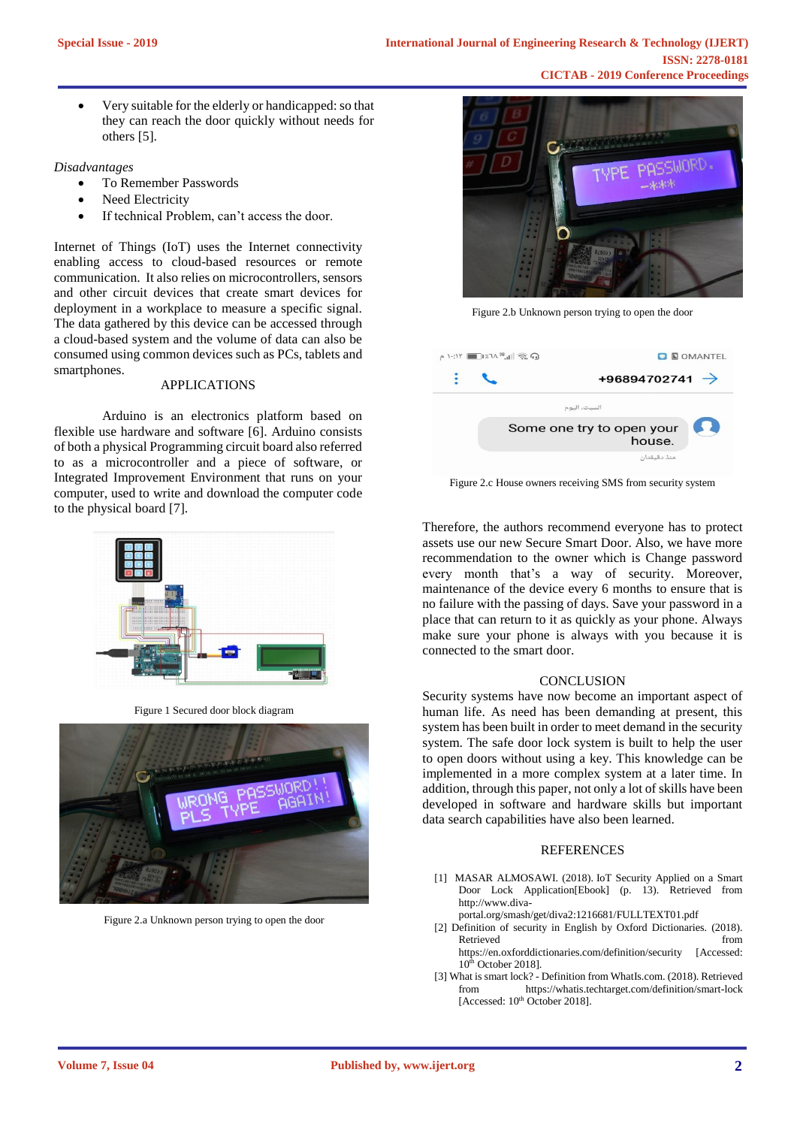• Very suitable for the elderly or handicapped: so that they can reach the door quickly without needs for others [5].

## *Disadvantages*

- To Remember Passwords
- Need Electricity
- If technical Problem, can't access the door.

Internet of Things (IoT) uses the Internet connectivity enabling access to cloud-based resources or remote communication. It also relies on microcontrollers, sensors and other circuit devices that create smart devices for deployment in a workplace to measure a specific signal. The data gathered by this device can be accessed through a cloud-based system and the volume of data can also be consumed using common devices such as PCs, tablets and smartphones.

## APPLICATIONS

Arduino is an electronics platform based on flexible use hardware and software [6]. Arduino consists of both a physical Programming circuit board also referred to as a microcontroller and a piece of software, or Integrated Improvement Environment that runs on your computer, used to write and download the computer code to the physical board [7].



Figure 1 Secured door block diagram



Figure 2.a Unknown person trying to open the door



Figure 2.b Unknown person trying to open the door

|  | $\sim 1$ : $17$ $\sim 36$ $\sim 10$ $\approx 0$ | <b>O E OMANTEL</b>         |  |
|--|-------------------------------------------------|----------------------------|--|
|  |                                                 | +96894702741 $\rightarrow$ |  |
|  | السبت، اليوم                                    |                            |  |
|  | Some one try to open your<br>house.             | 52.                        |  |
|  | منذ دقىقتان                                     |                            |  |

Figure 2.c House owners receiving SMS from security system

Therefore, the authors recommend everyone has to protect assets use our new Secure Smart Door. Also, we have more recommendation to the owner which is Change password every month that's a way of security. Moreover, maintenance of the device every 6 months to ensure that is no failure with the passing of days. Save your password in a place that can return to it as quickly as your phone. Always make sure your phone is always with you because it is connected to the smart door.

#### **CONCLUSION**

Security systems have now become an important aspect of human life. As need has been demanding at present, this system has been built in order to meet demand in the security system. The safe door lock system is built to help the user to open doors without using a key. This knowledge can be implemented in a more complex system at a later time. In addition, through this paper, not only a lot of skills have been developed in software and hardware skills but important data search capabilities have also been learned.

#### **REFERENCES**

- [1] MASAR ALMOSAWI. (2018). IoT Security Applied on a Smart Door Lock Application[Ebook] (p. 13). Retrieved from http://www.diva-
- portal.org/smash/get/diva2:1216681/FULLTEXT01.pdf
- [2] Definition of security in English by Oxford Dictionaries. (2018). Retrieved from the state of  $\sim$ https://en.oxforddictionaries.com/definition/security [Accessed:  $10<sup>th</sup>$  October 2018].
- [3] What is smart lock? Definition from WhatIs.com. (2018). Retrieved from https://whatis.techtarget.com/definition/smart-lock  $[Accessed: 10<sup>th</sup> October 2018]$ .